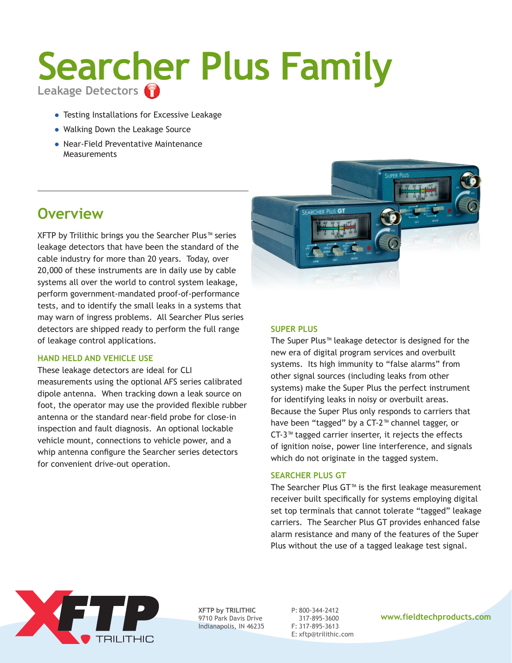# **Searcher Plus Family Leakage Detectors**

- ● Testing Installations for Excessive Leakage
- Walking Down the Leakage Source
- Near-Field Preventative Maintenance **Measurements**

# **Overview**

XFTP by Trilithic brings you the Searcher Plus™ series leakage detectors that have been the standard of the cable industry for more than 20 years. Today, over 20,000 of these instruments are in daily use by cable systems all over the world to control system leakage, perform government-mandated proof-of-performance tests, and to identify the small leaks in a systems that may warn of ingress problems. All Searcher Plus series detectors are shipped ready to perform the full range of leakage control applications.

## **Hand Held and Vehicle Use**

These leakage detectors are ideal for CLI measurements using the optional AFS series calibrated dipole antenna. When tracking down a leak source on foot, the operator may use the provided flexible rubber antenna or the standard near-field probe for close-in inspection and fault diagnosis. An optional lockable vehicle mount, connections to vehicle power, and a whip antenna configure the Searcher series detectors for convenient drive-out operation.



## **Super Plus**

The Super Plus™ leakage detector is designed for the new era of digital program services and overbuilt systems. Its high immunity to "false alarms" from other signal sources (including leaks from other systems) make the Super Plus the perfect instrument for identifying leaks in noisy or overbuilt areas. Because the Super Plus only responds to carriers that have been "tagged" by a CT-2™ channel tagger, or CT-3™ tagged carrier inserter, it rejects the effects of ignition noise, power line interference, and signals which do not originate in the tagged system.

### **Searcher Plus GT**

The Searcher Plus GT™ is the first leakage measurement receiver built specifically for systems employing digital set top terminals that cannot tolerate "tagged" leakage carriers. The Searcher Plus GT provides enhanced false alarm resistance and many of the features of the Super Plus without the use of a tagged leakage test signal.



**XFTP by TRILITHIC** 9710 Park Davis Drive Indianapolis, IN 46235 P: 800-344-2412 317-895-3600 F: 317-895-3613 E: xftp@trilithic.com

#### **www.fieldtechproducts.com**